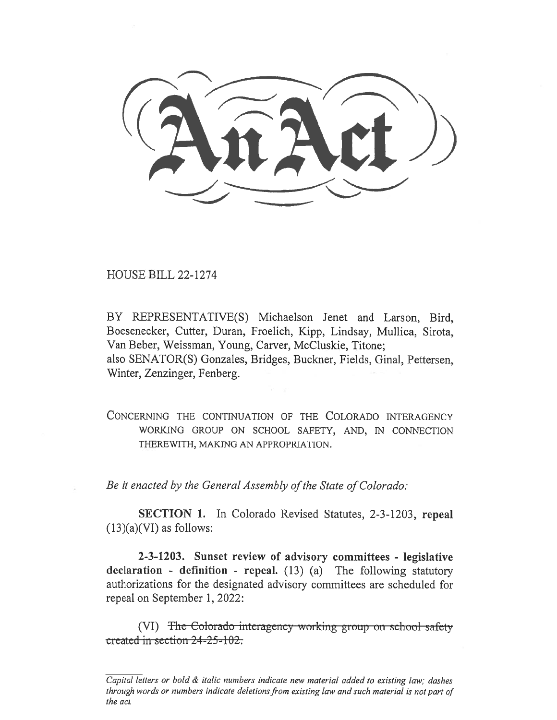$(2\pi \lambda c t)$ 

HOUSE BILL 22-1274

BY REPRESENTATIVE(S) Michaelson Jenet and Larson, Bird, Boesenecker, Cutter, Duran, Froelich, Kipp, Lindsay, Mullica, Sirota, Van Beber, Weissman, Young, Carver, McCluskie, Titone; also SENATOR(S) Gonzales, Bridges, Buckner, Fields, Ginal, Pettersen, Winter, Zenzinger, Fenberg.

CONCERNING THE CONTINUATION OF THE COLORADO INTERAGENCY WORKING GROUP ON SCHOOL SAFETY, AND, IN CONNECTION THEREWITH, MAKING AN APPROPRIATION.

Be it enacted by the General Assembly of the State of Colorado:

SECTION 1. In Colorado Revised Statutes, 2-3-1203, repeal  $(13)(a)(VI)$  as follows:

2-3-1203. Sunset review of advisory committees - legislative declaration - definition - repeal. (13) (a) The following statutory authorizations for the designated advisory committees are scheduled for repeal on September 1, 2022:

(VI) The Colorado-interagency working group on school safety created in section 24-25-102.

Capital letters or bold & italic numbers indicate new material added to existing law; dashes through words or numbers indicate deletions from existing law and such material is not part of the act.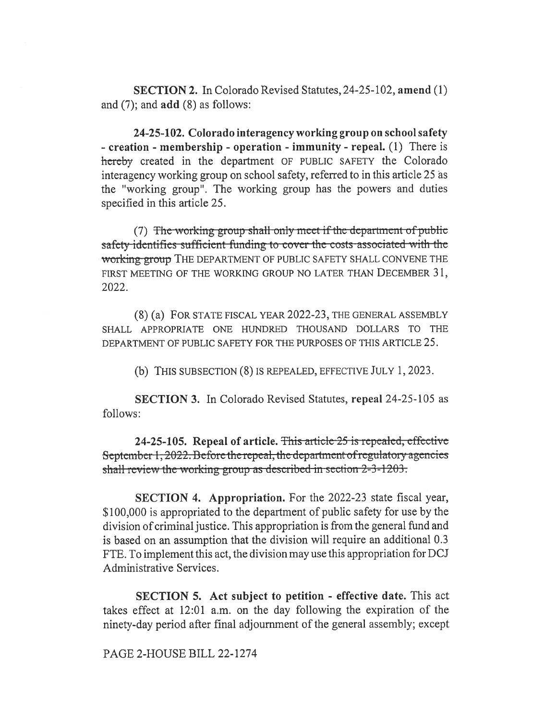SECTION 2. In Colorado Revised Statutes, 24-25-102, amend (1) and (7); and add (8) as follows:

24-25-102. Colorado interagency working group on school safety - creation - membership - operation - immunity - repeal. (1) There is hereby created in the department OF PUBLIC SAFETY the Colorado interagency working group on school safety, referred to in this article 25 as the "working group". The working group has the powers and duties specified in this article 25.

(7) The working group shall only meet if the department of public safety identifies sufficient funding to cover the costs associated with the working-group THE DEPARTMENT OF PUBLIC SAFETY SHALL CONVENE THE FIRST MEETING OF THE WORKING GROUP NO LATER THAN DECEMBER 31, 2022.

(8) (a) FOR STATE FISCAL YEAR 2022-23, THE GENERAL ASSEMBLY SHALL APPROPRIATE ONE HUNDRED THOUSAND DOLLARS TO THE DEPARTMENT OF PUBLIC SAFETY FOR THE PURPOSES OF THIS ARTICLE 25.

(b) THIS SUBSECTION (8) IS REPEALED, EFFECTIVE JULY 1, 2023.

SECTION 3. In Colorado Revised Statutes, repeal 24-25-105 as follows:

24-25-105. Repeal of article. This article-25 is repealed, effective September  $1,2022$ . Before the repeal, the department of regulatory agencies shall review the working group as described in section  $2-3-1203$ .

SECTION 4. Appropriation. For the 2022-23 state fiscal year, \$100,000 is appropriated to the department of public safety for use by the division of criminal justice. This appropriation is from the general fund and is based on an assumption that the division will require an additional 0.3 FTE. To implement this act, the division may use this appropriation for DCJ Administrative Services.

SECTION 5. Act subject to petition - effective date. This act takes effect at 12:01 a.m. on the day following the expiration of the ninety-day period after final adjournment of the general assembly; except

PAGE 2-HOUSE BILL 22-1274